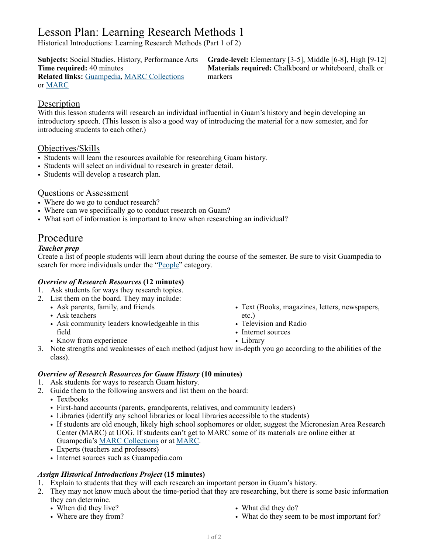# Lesson Plan: Learning Research Methods 1

Historical Introductions: Learning Research Methods (Part 1 of 2)

**Related links:** [Guampedia,](https://www.guampedia.com/) [MARC Collections](https://www.guampedia.com/e-publications/marc-publications/) markers or [MARC](https://www.uog.edu/marc-home)

**Subjects:** Social Studies, History, Performance Arts **Grade-level:** Elementary [3-5], Middle [6-8], High [9-12] **Time required:** 40 minutes **Materials required:** Chalkboard or whiteboard, chalk or

# **Description**

With this lesson students will research an individual influential in Guam's history and begin developing an introductory speech. (This lesson is also a good way of introducing the material for a new semester, and for introducing students to each other.)

# Objectives/Skills

- Students will learn the resources available for researching Guam history.
- Students will select an individual to research in greater detail.
- Students will develop a research plan.

# Questions or Assessment

- Where do we go to conduct research?
- Where can we specifically go to conduct research on Guam?
- What sort of information is important to know when researching an individual?

# Procedure

# *Teacher prep*

Create a list of people students will learn about during the course of the semester. Be sure to visit Guampedia to search for more individuals under the ["People](https://www.guampedia.com/biographies/people/)" category.

#### *Overview of Research Resources* **(12 minutes)**

- 1. Ask students for ways they research topics.
- 2. List them on the board. They may include:
	- Ask parents, family, and friends
		- Ask teachers
		- Ask community leaders knowledgeable in this field
		- Know from experience
- Text (Books, magazines, letters, newspapers, etc.)
- Television and Radio
- Internet sources
- Library
- 3. Note strengths and weaknesses of each method (adjust how in-depth you go according to the abilities of the class).

#### *Overview of Research Resources for Guam History* **(10 minutes)**

- 1. Ask students for ways to research Guam history.
- 2. Guide them to the following answers and list them on the board:
	- Textbooks
		- First-hand accounts (parents, grandparents, relatives, and community leaders)
	- Libraries (identify any school libraries or local libraries accessible to the students)
	- If students are old enough, likely high school sophomores or older, suggest the Micronesian Area Research Center (MARC) at UOG. If students can't get to MARC some of its materials are online either at Guampedia's [MARC Collections](https://www.guampedia.com/e-publications/marc-publications/) or at [MARC.](https://www.uog.edu/marc-home)
	- Experts (teachers and professors)
	- Internet sources such as Guampedia.com

#### *Assign Historical Introductions Project* **(15 minutes)**

- 1. Explain to students that they will each research an important person in Guam's history.
- 2. They may not know much about the time-period that they are researching, but there is some basic information they can determine.
	- When did they live?
	- Where are they from?
- What did they do?
- What do they seem to be most important for?